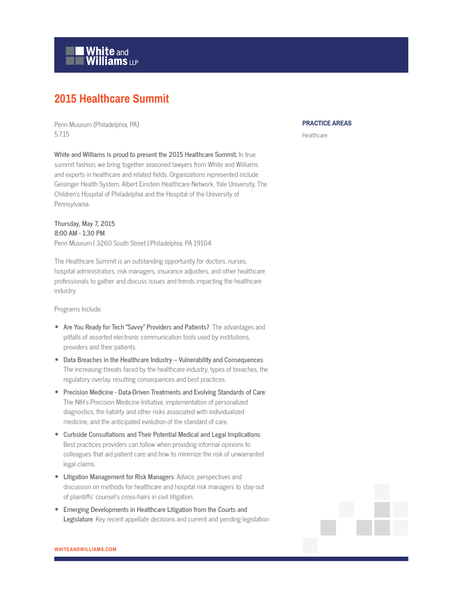

## **2015 Healthcare Summit**

Penn Museum (Philadelphia, PA) 5.7.15

**White and Williams is proud to present the 2015 Healthcare Summit.** In true summit fashion, we bring together seasoned lawyers from White and Williams and experts in healthcare and related fields. Organizations represented include Geisinger Health System, Albert Einstein Healthcare Network, Yale University, The Children's Hospital of Philadelphia and the Hospital of the University of Pennsylvania.

**Thursday, May 7, 2015 8:00 AM - 1:30 PM** Penn Museum | 3260 South Street | Philadelphia, PA 19104

The Healthcare Summit is an outstanding opportunity for doctors, nurses, hospital administrators, risk managers, insurance adjusters, and other healthcare professionals to gather and discuss issues and trends impacting the healthcare industry.

Programs Include:

- **Are You Ready for Tech "Savvy" Providers and Patients?**: The advantages and pitfalls of assorted electronic communication tools used by institutions, providers and their patients.
- **Data Breaches in the Healthcare Industry Vulnerability and Consequences**: The increasing threats faced by the healthcare industry, types of breaches, the regulatory overlay, resulting consequences and best practices.
- **Precision Medicine Data-Driven Treatments and Evolving Standards of Care**: The NIH's Precision Medicine Initiative, implementation of personalized diagnostics, the liability and other risks associated with individualized medicine, and the anticipated evolution of the standard of care.
- **Curbside Consultations and Their Potential Medical and Legal Implications**: Best practices providers can follow when providing informal opinions to colleagues that aid patient care and how to minimize the risk of unwarranted legal claims.
- **Litigation Management for Risk Managers**: Advice, perspectives and discussion on methods for healthcare and hospital risk managers to stay out of plaintiffs' counsel's cross-hairs in civil litigation.
- **Emerging Developments in Healthcare Litigation from the Courts and Legislature**: Key recent appellate decisions and current and pending legislation

## **PRACTICE AREAS**

Healthcare

**WHITEANDWILLIAMS.COM**